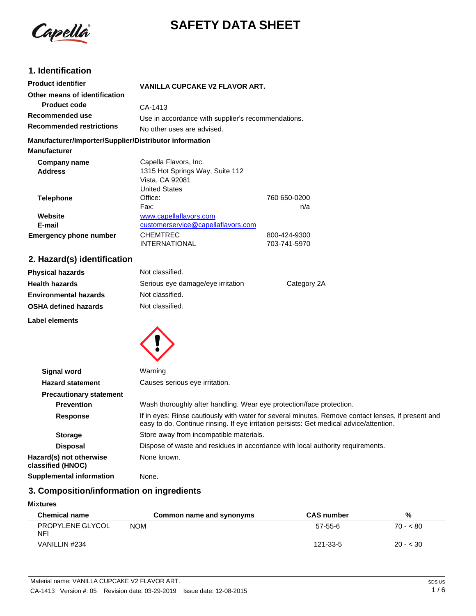

# **SAFETY DATA SHEET**

# **1. Identification**

| <b>Product identifier</b>                              | <b>VANILLA CUPCAKE V2 FLAVOR ART.</b>              |              |
|--------------------------------------------------------|----------------------------------------------------|--------------|
| Other means of identification                          |                                                    |              |
| <b>Product code</b>                                    | CA-1413                                            |              |
| Recommended use                                        | Use in accordance with supplier's recommendations. |              |
| <b>Recommended restrictions</b>                        | No other uses are advised.                         |              |
| Manufacturer/Importer/Supplier/Distributor information |                                                    |              |
| <b>Manufacturer</b>                                    |                                                    |              |
| Company name                                           | Capella Flavors, Inc.                              |              |
| <b>Address</b>                                         | 1315 Hot Springs Way, Suite 112                    |              |
|                                                        | Vista, CA 92081                                    |              |
|                                                        | <b>United States</b>                               |              |
| <b>Telephone</b>                                       | Office:                                            | 760 650-0200 |
|                                                        | Fax:                                               | n/a          |
| Website                                                | www.capellaflavors.com                             |              |
| E-mail                                                 | customerservice@capellaflavors.com                 |              |
| <b>Emergency phone number</b>                          | <b>CHEMTREC</b>                                    | 800-424-9300 |
|                                                        | <b>INTERNATIONAL</b>                               | 703-741-5970 |

# **2. Hazard(s) identification**

| <b>Physical hazards</b>      | Not classified.                   |             |
|------------------------------|-----------------------------------|-------------|
| <b>Health hazards</b>        | Serious eye damage/eye irritation | Category 2A |
| <b>Environmental hazards</b> | Not classified.                   |             |
| <b>OSHA defined hazards</b>  | Not classified.                   |             |
| Label elements               |                                   |             |



| <b>Signal word</b>                           | Warning                                                                                                                                                                                       |
|----------------------------------------------|-----------------------------------------------------------------------------------------------------------------------------------------------------------------------------------------------|
| <b>Hazard statement</b>                      | Causes serious eye irritation.                                                                                                                                                                |
| <b>Precautionary statement</b>               |                                                                                                                                                                                               |
| <b>Prevention</b>                            | Wash thoroughly after handling. Wear eye protection/face protection.                                                                                                                          |
| <b>Response</b>                              | If in eyes: Rinse cautiously with water for several minutes. Remove contact lenses, if present and<br>easy to do. Continue rinsing. If eye irritation persists: Get medical advice/attention. |
| <b>Storage</b>                               | Store away from incompatible materials.                                                                                                                                                       |
| <b>Disposal</b>                              | Dispose of waste and residues in accordance with local authority requirements.                                                                                                                |
| Hazard(s) not otherwise<br>classified (HNOC) | None known.                                                                                                                                                                                   |
| <b>Supplemental information</b>              | None.                                                                                                                                                                                         |

# **3. Composition/information on ingredients**

#### **Mixtures**

| <b>Chemical name</b>           | Common name and synonyms | <b>CAS number</b> | %         |
|--------------------------------|--------------------------|-------------------|-----------|
| PROPYLENE GLYCOL<br><b>NFI</b> | <b>NOM</b>               | 57-55-6           | $70 - 80$ |
| VANILLIN #234                  |                          | 121-33-5          | $20 - 30$ |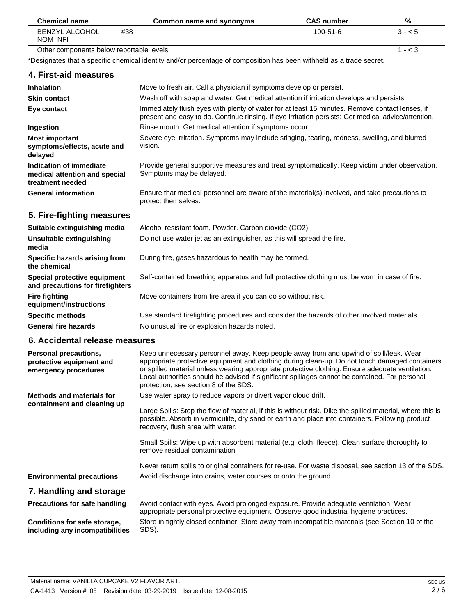| <b>Chemical name</b>                     | Common name and synonyms | <b>CAS</b> number | %         |
|------------------------------------------|--------------------------|-------------------|-----------|
| BENZYL ALCOHOL<br>NOM NFI                | #38                      | $100 - 51 - 6$    | $3 - 5$   |
| Other components below reportable levels |                          |                   | $1 - < 5$ |

Other components below reportable levels

\*Designates that a specific chemical identity and/or percentage of composition has been withheld as a trade secret.

## **4. First-aid measures**

| <b>Inhalation</b>                                                            | Move to fresh air. Call a physician if symptoms develop or persist.                                                                                                                                   |
|------------------------------------------------------------------------------|-------------------------------------------------------------------------------------------------------------------------------------------------------------------------------------------------------|
| <b>Skin contact</b>                                                          | Wash off with soap and water. Get medical attention if irritation develops and persists.                                                                                                              |
| Eye contact                                                                  | Immediately flush eyes with plenty of water for at least 15 minutes. Remove contact lenses, if<br>present and easy to do. Continue rinsing. If eye irritation persists: Get medical advice/attention. |
| Ingestion                                                                    | Rinse mouth. Get medical attention if symptoms occur.                                                                                                                                                 |
| <b>Most important</b><br>symptoms/effects, acute and<br>delayed              | Severe eye irritation. Symptoms may include stinging, tearing, redness, swelling, and blurred<br>vision.                                                                                              |
| Indication of immediate<br>medical attention and special<br>treatment needed | Provide general supportive measures and treat symptomatically. Keep victim under observation.<br>Symptoms may be delayed.                                                                             |
| <b>General information</b>                                                   | Ensure that medical personnel are aware of the material(s) involved, and take precautions to<br>protect themselves.                                                                                   |

# **5. Fire-fighting measures**

| Suitable extinguishing media                                            | Alcohol resistant foam. Powder. Carbon dioxide (CO2).                                         |
|-------------------------------------------------------------------------|-----------------------------------------------------------------------------------------------|
| Unsuitable extinguishing<br>media                                       | Do not use water jet as an extinguisher, as this will spread the fire.                        |
| Specific hazards arising from<br>the chemical                           | During fire, gases hazardous to health may be formed.                                         |
| <b>Special protective equipment</b><br>and precautions for firefighters | Self-contained breathing apparatus and full protective clothing must be worn in case of fire. |
| Fire fighting<br>equipment/instructions                                 | Move containers from fire area if you can do so without risk.                                 |
| Specific methods                                                        | Use standard firefighting procedures and consider the hazards of other involved materials.    |
| General fire hazards                                                    | No unusual fire or explosion hazards noted.                                                   |

# **6. Accidental release measures**

| Personal precautions,<br>protective equipment and<br>emergency procedures | Keep unnecessary personnel away. Keep people away from and upwind of spill/leak. Wear<br>appropriate protective equipment and clothing during clean-up. Do not touch damaged containers<br>or spilled material unless wearing appropriate protective clothing. Ensure adequate ventilation.<br>Local authorities should be advised if significant spillages cannot be contained. For personal<br>protection, see section 8 of the SDS. |
|---------------------------------------------------------------------------|----------------------------------------------------------------------------------------------------------------------------------------------------------------------------------------------------------------------------------------------------------------------------------------------------------------------------------------------------------------------------------------------------------------------------------------|
| <b>Methods and materials for</b>                                          | Use water spray to reduce vapors or divert vapor cloud drift.                                                                                                                                                                                                                                                                                                                                                                          |
| containment and cleaning up                                               | Large Spills: Stop the flow of material, if this is without risk. Dike the spilled material, where this is<br>possible. Absorb in vermiculite, dry sand or earth and place into containers. Following product<br>recovery, flush area with water.                                                                                                                                                                                      |
|                                                                           | Small Spills: Wipe up with absorbent material (e.g. cloth, fleece). Clean surface thoroughly to<br>remove residual contamination.                                                                                                                                                                                                                                                                                                      |
|                                                                           | Never return spills to original containers for re-use. For waste disposal, see section 13 of the SDS.                                                                                                                                                                                                                                                                                                                                  |
| <b>Environmental precautions</b>                                          | Avoid discharge into drains, water courses or onto the ground.                                                                                                                                                                                                                                                                                                                                                                         |
| 7. Handling and storage                                                   |                                                                                                                                                                                                                                                                                                                                                                                                                                        |
| <b>Precautions for safe handling</b>                                      | Avoid contact with eyes. Avoid prolonged exposure. Provide adequate ventilation. Wear<br>appropriate personal protective equipment. Observe good industrial hygiene practices.                                                                                                                                                                                                                                                         |
| Conditions for safe storage,<br>including any incompatibilities           | Store in tightly closed container. Store away from incompatible materials (see Section 10 of the<br>SDS).                                                                                                                                                                                                                                                                                                                              |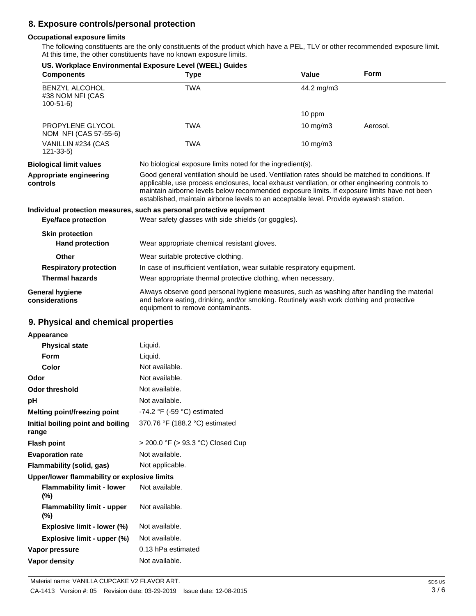# **8. Exposure controls/personal protection**

#### **Occupational exposure limits**

The following constituents are the only constituents of the product which have a PEL, TLV or other recommended exposure limit. At this time, the other constituents have no known exposure limits.

| <b>Components</b>                                           | <b>Type</b>                                                                                                                                                                                                                                                                                                                                                                                 | Value             | <b>Form</b> |
|-------------------------------------------------------------|---------------------------------------------------------------------------------------------------------------------------------------------------------------------------------------------------------------------------------------------------------------------------------------------------------------------------------------------------------------------------------------------|-------------------|-------------|
| <b>BENZYL ALCOHOL</b><br>#38 NOM NFI (CAS<br>$100 - 51 - 6$ | <b>TWA</b>                                                                                                                                                                                                                                                                                                                                                                                  | 44.2 mg/m3        |             |
|                                                             |                                                                                                                                                                                                                                                                                                                                                                                             | 10 ppm            |             |
| PROPYLENE GLYCOL<br>NOM NFI (CAS 57-55-6)                   | <b>TWA</b>                                                                                                                                                                                                                                                                                                                                                                                  | $10 \text{ mg/m}$ | Aerosol.    |
| VANILLIN #234 (CAS<br>$121 - 33 - 5$                        | <b>TWA</b>                                                                                                                                                                                                                                                                                                                                                                                  | $10 \text{ mg/m}$ |             |
| <b>Biological limit values</b>                              | No biological exposure limits noted for the ingredient(s).                                                                                                                                                                                                                                                                                                                                  |                   |             |
| Appropriate engineering<br>controls                         | Good general ventilation should be used. Ventilation rates should be matched to conditions. If<br>applicable, use process enclosures, local exhaust ventilation, or other engineering controls to<br>maintain airborne levels below recommended exposure limits. If exposure limits have not been<br>established, maintain airborne levels to an acceptable level. Provide eyewash station. |                   |             |
|                                                             | Individual protection measures, such as personal protective equipment                                                                                                                                                                                                                                                                                                                       |                   |             |
| <b>Eye/face protection</b>                                  | Wear safety glasses with side shields (or goggles).                                                                                                                                                                                                                                                                                                                                         |                   |             |
| <b>Skin protection</b><br><b>Hand protection</b>            | Wear appropriate chemical resistant gloves.                                                                                                                                                                                                                                                                                                                                                 |                   |             |
| Other                                                       | Wear suitable protective clothing.                                                                                                                                                                                                                                                                                                                                                          |                   |             |
| <b>Respiratory protection</b>                               | In case of insufficient ventilation, wear suitable respiratory equipment.                                                                                                                                                                                                                                                                                                                   |                   |             |
| <b>Thermal hazards</b>                                      | Wear appropriate thermal protective clothing, when necessary.                                                                                                                                                                                                                                                                                                                               |                   |             |
| <b>General hygiene</b><br>considerations                    | Always observe good personal hygiene measures, such as washing after handling the material<br>and before eating, drinking, and/or smoking. Routinely wash work clothing and protective<br>equipment to remove contaminants.                                                                                                                                                                 |                   |             |

# **9. Physical and chemical properties**

| Appearance                                   |                                   |
|----------------------------------------------|-----------------------------------|
| <b>Physical state</b>                        | Liquid.                           |
| Form                                         | Liquid.                           |
| Color                                        | Not available.                    |
| Odor                                         | Not available.                    |
| Odor threshold                               | Not available.                    |
| рH                                           | Not available.                    |
| Melting point/freezing point                 | $-74.2$ °F ( $-59$ °C) estimated  |
| Initial boiling point and boiling<br>range   | 370.76 °F (188.2 °C) estimated    |
| <b>Flash point</b>                           | > 200.0 °F (> 93.3 °C) Closed Cup |
| <b>Evaporation rate</b>                      | Not available.                    |
| Flammability (solid, gas)                    | Not applicable.                   |
| Upper/lower flammability or explosive limits |                                   |
| <b>Flammability limit - lower</b><br>$(\%)$  | Not available.                    |
| <b>Flammability limit - upper</b><br>$(\%)$  | Not available.                    |
| Explosive limit - lower (%)                  | Not available.                    |
| Explosive limit - upper (%)                  | Not available.                    |
| Vapor pressure                               | 0.13 hPa estimated                |
| Vapor density                                | Not available.                    |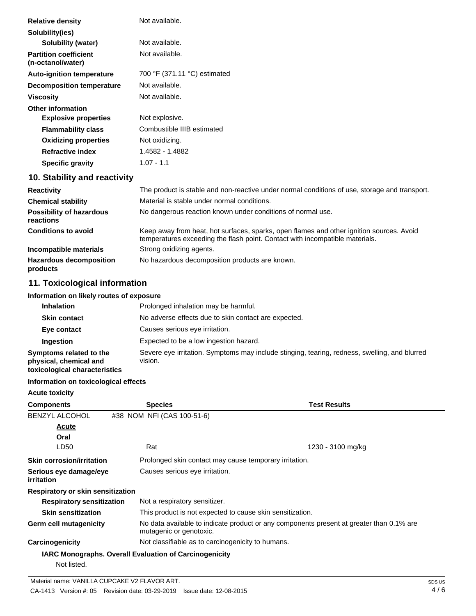| Not available.               |
|------------------------------|
|                              |
| Not available.               |
| Not available.               |
| 700 °F (371.11 °C) estimated |
| Not available.               |
| Not available.               |
|                              |
| Not explosive.               |
| Combustible IIIB estimated   |
| Not oxidizing.               |
| 1.4582 - 1.4882              |
| $1.07 - 1.1$                 |
|                              |

# **10. Stability and reactivity**

| <b>Reactivity</b>                            | The product is stable and non-reactive under normal conditions of use, storage and transport.                                                                            |
|----------------------------------------------|--------------------------------------------------------------------------------------------------------------------------------------------------------------------------|
| <b>Chemical stability</b>                    | Material is stable under normal conditions.                                                                                                                              |
| <b>Possibility of hazardous</b><br>reactions | No dangerous reaction known under conditions of normal use.                                                                                                              |
| <b>Conditions to avoid</b>                   | Keep away from heat, hot surfaces, sparks, open flames and other ignition sources. Avoid<br>temperatures exceeding the flash point. Contact with incompatible materials. |
| Incompatible materials                       | Strong oxidizing agents.                                                                                                                                                 |
| <b>Hazardous decomposition</b><br>products   | No hazardous decomposition products are known.                                                                                                                           |

# **11. Toxicological information**

#### **Information on likely routes of exposure**

| <b>Inhalation</b>                                                                  | Prolonged inhalation may be harmful.                                                                     |  |  |
|------------------------------------------------------------------------------------|----------------------------------------------------------------------------------------------------------|--|--|
| <b>Skin contact</b>                                                                | No adverse effects due to skin contact are expected.                                                     |  |  |
| Eye contact                                                                        | Causes serious eye irritation.                                                                           |  |  |
| <b>Ingestion</b>                                                                   | Expected to be a low ingestion hazard.                                                                   |  |  |
| Symptoms related to the<br>physical, chemical and<br>toxicological characteristics | Severe eye irritation. Symptoms may include stinging, tearing, redness, swelling, and blurred<br>vision. |  |  |

## **Information on toxicological effects**

| <b>Acute toxicity</b>                |                                                                                                                     |                                                           |  |
|--------------------------------------|---------------------------------------------------------------------------------------------------------------------|-----------------------------------------------------------|--|
| <b>Components</b>                    | <b>Species</b>                                                                                                      | <b>Test Results</b>                                       |  |
| <b>BENZYL ALCOHOL</b>                | #38 NOM NFI (CAS 100-51-6)                                                                                          |                                                           |  |
| Acute                                |                                                                                                                     |                                                           |  |
| Oral                                 |                                                                                                                     |                                                           |  |
| LD50                                 | Rat                                                                                                                 | 1230 - 3100 mg/kg                                         |  |
| <b>Skin corrosion/irritation</b>     |                                                                                                                     | Prolonged skin contact may cause temporary irritation.    |  |
| Serious eye damage/eye<br>irritation |                                                                                                                     | Causes serious eye irritation.                            |  |
| Respiratory or skin sensitization    |                                                                                                                     |                                                           |  |
| <b>Respiratory sensitization</b>     | Not a respiratory sensitizer.                                                                                       |                                                           |  |
| <b>Skin sensitization</b>            |                                                                                                                     | This product is not expected to cause skin sensitization. |  |
| Germ cell mutagenicity               | No data available to indicate product or any components present at greater than 0.1% are<br>mutagenic or genotoxic. |                                                           |  |
| Carcinogenicity                      |                                                                                                                     | Not classifiable as to carcinogenicity to humans.         |  |
|                                      | <b>IARC Monographs. Overall Evaluation of Carcinogenicity</b>                                                       |                                                           |  |
| Not listed.                          |                                                                                                                     |                                                           |  |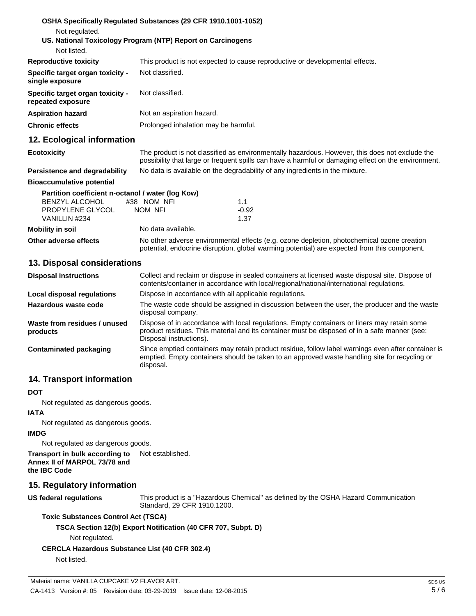| Not regulated.                                        | OSHA Specifically Regulated Substances (29 CFR 1910.1001-1052)                                                                                                                                        |
|-------------------------------------------------------|-------------------------------------------------------------------------------------------------------------------------------------------------------------------------------------------------------|
|                                                       | US. National Toxicology Program (NTP) Report on Carcinogens                                                                                                                                           |
| Not listed.                                           |                                                                                                                                                                                                       |
| <b>Reproductive toxicity</b>                          | This product is not expected to cause reproductive or developmental effects.                                                                                                                          |
| Specific target organ toxicity -<br>single exposure   | Not classified.                                                                                                                                                                                       |
| Specific target organ toxicity -<br>repeated exposure | Not classified.                                                                                                                                                                                       |
| <b>Aspiration hazard</b>                              | Not an aspiration hazard.                                                                                                                                                                             |
| <b>Chronic effects</b>                                | Prolonged inhalation may be harmful.                                                                                                                                                                  |
| 12. Ecological information                            |                                                                                                                                                                                                       |
| <b>Ecotoxicity</b>                                    | The product is not classified as environmentally hazardous. However, this does not exclude the<br>possibility that large or frequent spills can have a harmful or damaging effect on the environment. |
| Persistence and degradability                         | No data is available on the degradability of any ingredients in the mixture.                                                                                                                          |
| <b>Bioaccumulative potential</b>                      |                                                                                                                                                                                                       |
| Partition coefficient n-octanol / water (log Kow)     |                                                                                                                                                                                                       |

| BENZYL ALCOHOL          | #38 NOM NFI        | 1.1                                                                                                                                                                                        |  |  |
|-------------------------|--------------------|--------------------------------------------------------------------------------------------------------------------------------------------------------------------------------------------|--|--|
| PROPYLENE GLYCOL        | NOM NFI            | $-0.92$                                                                                                                                                                                    |  |  |
| VANILLIN #234           |                    | 1.37                                                                                                                                                                                       |  |  |
| <b>Mobility in soil</b> | No data available. |                                                                                                                                                                                            |  |  |
| Other adverse effects   |                    | No other adverse environmental effects (e.g. ozone depletion, photochemical ozone creation<br>potential, endocrine disruption, global warming potential) are expected from this component. |  |  |

#### **13. Disposal considerations**

| <b>Disposal instructions</b>             | Collect and reclaim or dispose in sealed containers at licensed waste disposal site. Dispose of<br>contents/container in accordance with local/regional/national/international regulations.                            |  |
|------------------------------------------|------------------------------------------------------------------------------------------------------------------------------------------------------------------------------------------------------------------------|--|
| Local disposal regulations               | Dispose in accordance with all applicable regulations.                                                                                                                                                                 |  |
| Hazardous waste code                     | The waste code should be assigned in discussion between the user, the producer and the waste<br>disposal company.                                                                                                      |  |
| Waste from residues / unused<br>products | Dispose of in accordance with local regulations. Empty containers or liners may retain some<br>product residues. This material and its container must be disposed of in a safe manner (see:<br>Disposal instructions). |  |
| Contaminated packaging                   | Since emptied containers may retain product residue, follow label warnings even after container is<br>emptied. Empty containers should be taken to an approved waste handling site for recycling or<br>disposal.       |  |

## **14. Transport information**

#### **DOT**

Not regulated as dangerous goods.

#### **IATA**

Not regulated as dangerous goods.

#### **IMDG**

Not regulated as dangerous goods.

**Transport in bulk according to Annex II of MARPOL 73/78 and the IBC Code** Not established.

### **15. Regulatory information**

**US federal regulations**

This product is a "Hazardous Chemical" as defined by the OSHA Hazard Communication Standard, 29 CFR 1910.1200.

#### **Toxic Substances Control Act (TSCA)**

## **TSCA Section 12(b) Export Notification (40 CFR 707, Subpt. D)**

Not regulated.

## **CERCLA Hazardous Substance List (40 CFR 302.4)**

Not listed.